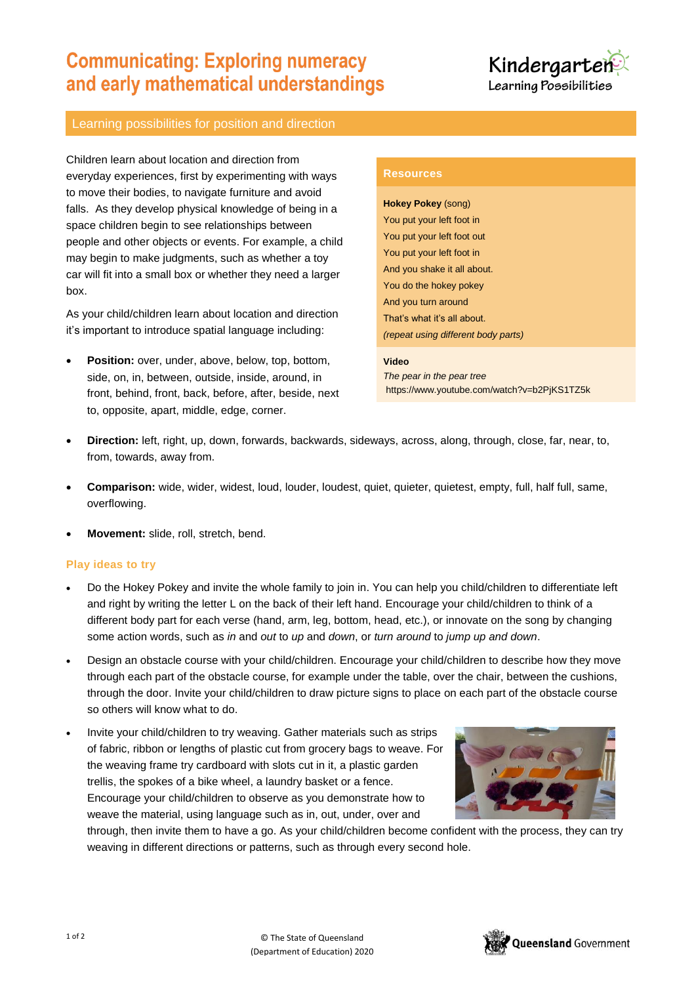# **Communicating: Exploring numeracy** and early mathematical understandings



## Learning possibilities for position and direction

Children learn about location and direction from everyday experiences, first by experimenting with ways to move their bodies, to navigate furniture and avoid falls. As they develop physical knowledge of being in a space children begin to see relationships between people and other objects or events. For example, a child may begin to make judgments, such as whether a toy car will fit into a small box or whether they need a larger box.

As your child/children learn about location and direction it's important to introduce spatial language including:

 **Position:** over, under, above, below, top, bottom, side, on, in, between, outside, inside, around, in front, behind, front, back, before, after, beside, next to, opposite, apart, middle, edge, corner.

### **Resources**

**Hokey Pokey** (song) You put your left foot in You put your left foot out You put your left foot in And you shake it all about. You do the hokey pokey And you turn around That's what it's all about. *(repeat using different body parts)*

#### **Video**

*The pear in the pear tree* https://www.youtube.com/watch?v=b2PjKS1TZ5k

- **Direction:** left, right, up, down, forwards, backwards, sideways, across, along, through, close, far, near, to, from, towards, away from.
- **Comparison:** wide, wider, widest, loud, louder, loudest, quiet, quieter, quietest, empty, full, half full, same, overflowing.
- **Movement:** slide, roll, stretch, bend.

## **Play ideas to try**

- Do the Hokey Pokey and invite the whole family to join in. You can help you child/children to differentiate left and right by writing the letter L on the back of their left hand. Encourage your child/children to think of a different body part for each verse (hand, arm, leg, bottom, head, etc.), or innovate on the song by changing some action words, such as *in* and *out* to *up* and *down*, or *turn around* to *jump up and down*.
- Design an obstacle course with your child/children. Encourage your child/children to describe how they move through each part of the obstacle course, for example under the table, over the chair, between the cushions, through the door. Invite your child/children to draw picture signs to place on each part of the obstacle course so others will know what to do.
- Invite your child/children to try weaving. Gather materials such as strips of fabric, ribbon or lengths of plastic cut from grocery bags to weave. For the weaving frame try cardboard with slots cut in it, a plastic garden trellis, the spokes of a bike wheel, a laundry basket or a fence. Encourage your child/children to observe as you demonstrate how to weave the material, using language such as in, out, under, over and



through, then invite them to have a go. As your child/children become confident with the process, they can try weaving in different directions or patterns, such as through every second hole.